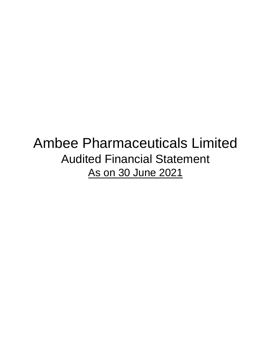# Ambee Pharmaceuticals Limited Audited Financial Statement As on 30 June 2021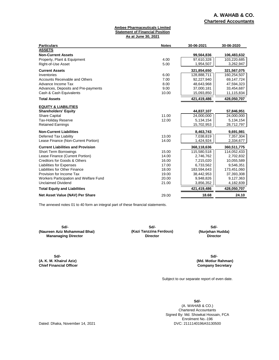### **Ambee Pharmaceuticals Limited Statement of Financial Position As at June 30, 2021**

| <b>Particulars</b>                       | <b>Notes</b> | 30-06-2021  | 30-06-2020  |
|------------------------------------------|--------------|-------------|-------------|
| <b>ASSETS</b>                            |              |             |             |
| <b>Non-Current Assets</b>                |              | 99,564,836  | 106,483,632 |
| Property, Plant & Equipment              | 4.00         | 97,610,328  | 103,220,685 |
| Right-of-Use Asset                       | 5.00         | 1,954,507   | 3,262,947   |
| <b>Current Assets</b>                    |              | 321,854,650 | 321,567,075 |
| Inventories                              | 6.00         | 128,888,711 | 160,254,507 |
| <b>Accounts Receivable and Others</b>    | 7.00         | 92,227,940  | 69,147,724  |
| Advance Income Tax                       | 8.00         | 48,643,968  | 47,594,323  |
| Advances, Deposits and Pre-payments      | 9.00         | 37,000,181  | 33,454,687  |
| Cash & Cash Equivalents                  | 10.00        | 15,093,850  | 11,115,834  |
| <b>Total Assets</b>                      |              | 421,419,486 | 428,050,707 |
| <b>EQUITY &amp; LIABILITIES</b>          |              |             |             |
| <b>Shareholders' Equity</b>              |              | 44,837,107  | 57,846,951  |
| <b>Share Capital</b>                     | 11.00        | 24,000,000  | 24,000,000  |
| <b>Tax-Holiday Reserve</b>               | 12.00        | 5,134,154   | 5,134,154   |
| <b>Retained Earnings</b>                 |              | 15,702,953  | 28,712,797  |
| <b>Non-Current Liabilities</b>           |              | 8,463,743   | 9,691,981   |
| Deferred Tax Liability                   | 13.00        | 7,038,819   | 7,357,304   |
| Lease Finance (Non-Current Portion)      | 14.00        | 1,424,924   | 2,334,677   |
| <b>Current Liabilities and Provision</b> |              | 368,118,636 | 360,511,775 |
| <b>Short Term Borrowings</b>             | 15.00        | 115,580,518 | 114,052,433 |
| Lease Finance (Current Portion)          | 14.00        | 2,746,762   | 2,702,832   |
| <b>Creditors for Goods &amp; Others</b>  | 16.00        | 7,215,020   | 10,055,589  |
| <b>Liabilities for Expenses</b>          | 17.00        | 6,733,562   | 9,546,351   |
| <b>Liabilities for Other Finance</b>     | 18.00        | 183,594,643 | 173,451,060 |
| Provision for Income Tax                 | 19.00        | 38,442,953  | 37,393,308  |
| Workers Participation and Welfare Fund   | 20.00        | 9,948,826   | 9,127,363   |
| <b>Unclaimed Dividend</b>                | 21.00        | 3,856,352   | 4,182,839   |
| <b>Total Equity and Liabilities</b>      |              | 421,419,486 | 428,050,707 |
| Net Asset Value (NAV) Per Share          | 29.00        | 18.68       | 24.10       |

The annexed notes 01 to 40 form an integral part of these financial statements.

**Sd/- (Naureen Aziz Mohammad Bhai) Mananaging Director**

**Sd/- Sd/- (Kazi Tanzzina Ferdous) Director** 

**(Nurjehan Hudda) Director**

**Sd/-**<br>(A. K. M. Khairul Aziz) **Chief Financial Officer**  **(Md. Motiur Rahman)**<br>Company Secretary **Sd/-**

Subject to our separate report of even date.

**Sd/-** (A. WAHAB & CO.) Chartered Accountants Signed By: Md. Showkat Hossain, FCA Enrolment No.-196<br>DVC: 2111140196AS130500

Dated: Dhaka, November 14, 2021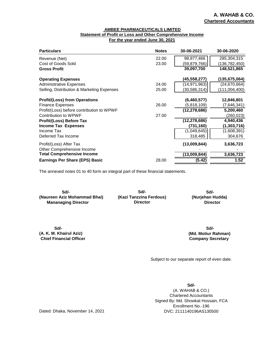### **AMBEE PHARMACEUTICALS LIMITED Statement of Profit or Loss and Other Comprehensive Income For the year ended June 30, 2021**

| <b>Particulars</b>                         | <b>Notes</b> | 30-06-2021     | 30-06-2020     |
|--------------------------------------------|--------------|----------------|----------------|
| Revenue (Net)                              | 22.00        | 98,977,466     | 285,304,315    |
| Cost of Goods Sold                         | 23.00        | (59, 879, 766) | (136,782,450)  |
| <b>Gross Profit</b>                        |              | 39,097,700     | 148,521,865    |
| <b>Operating Expenses</b>                  |              | (45,558,277)   | (135,675,064)  |
| <b>Administrative Expenses</b>             | 24.00        | (14, 971, 963) | (24, 670, 664) |
| Selling, Distribution & Marketing Expenses | 25.00        | (30, 586, 314) | (111,004,400)  |
| <b>Profit/(Loss) from Operations</b>       |              | (6,460,577)    | 12,846,801     |
| <b>Finance Expenses</b>                    | 26.00        | (5,818,109)    | (7,646,341)    |
| Profit/(Loss) before contribution to WPWF  |              | (12, 278, 686) | 5,200,460      |
| Contribution to WPWF                       | 27.00        |                | (260,023)      |
| Profit/(Loss) Before Tax                   |              | (12, 278, 686) | 4,940,436      |
| <b>Income Tax Expenses</b>                 |              | (731,160)      | (1,303,716)    |
| Income Tax                                 |              | (1,049,645)    | (1,608,391)    |
| Deferred Tax Income                        |              | 318,485        | 304,676        |
| Profit/(Loss) After Tax                    |              | (13,009,844)   | 3,636,723      |
| Other Comprehensive Income                 |              |                |                |
| <b>Total Comprehensive Income</b>          |              | (13,009,844)   | 3,636,723      |
| <b>Earnings Per Share (EPS) Basic</b>      | 28.00        | (5.42)         | 1.52           |

The annexed notes 01 to 40 form an integral part of these financial statements.

**Sd/- (Naureen Aziz Mohammad Bhai) (Nurjehan Hudda) Mananaging Director Director Director Director Director (Kazi Tanzzina Ferdous) Director** 

**Sd/- Sd/-**

**Sd/- (A. K. M. Khairul Aziz) (Md. Motiur Rahman)**

**Company Secretary Sd/-**

Subject to our separate report of even date.

**Sd/-** (A. WAHAB & CO.) Chartered Accountants Signed By: Md. Showkat Hossain, FCA Enrollment No.-196 Dated: Dhaka, November 14, 2021 DVC: 2111140196AS130500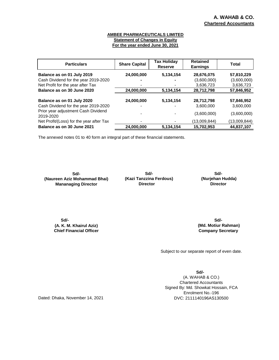### **AMBEE PHARMACEUTICALS LIMITED Statement of Changes in Equity For the year ended June 30, 2021**

| <b>Particulars</b>                                                                                      | <b>Share Capital</b> | <b>Tax Holiday</b><br><b>Reserve</b> | <b>Retained</b><br><b>Earnings</b>     | Total                                  |
|---------------------------------------------------------------------------------------------------------|----------------------|--------------------------------------|----------------------------------------|----------------------------------------|
| Balance as on 01 July 2019<br>Cash Dividend for the year 2019-2020<br>Net Profit for the year after Tax | 24,000,000           | 5,134,154                            | 28,676,075<br>(3,600,000)<br>3,636,723 | 57,810,229<br>(3,600,000)<br>3,636,723 |
| Balance as on 30 June 2020                                                                              | 24,000,000           | 5,134,154                            | 28,712,798                             | 57,846,952                             |
| Balance as on 01 July 2020<br>Cash Dividend for the year 2019-2020                                      | 24,000,000           | 5,134,154                            | 28,712,798<br>3,600,000                | 57,846,952<br>3.600.000                |
| Prior year adjustment Cash Dividend<br>2019-2020                                                        |                      |                                      | (3,600,000)                            | (3,600,000)                            |
| Net Profit/(Loss) for the year after Tax<br>Balance as on 30 June 2021                                  | 24,000,000           | 5,134,154                            | (13,009,844)<br>15,702,953             | (13,009,844)<br>44,837,107             |

The annexed notes 01 to 40 form an integral part of these financial statements.

**Sd/- (Naureen Aziz Mohammad Bhai) Mananaging Director Director** 

**Sd/- (Kazi Tanzzina Ferdous)**

**Director (Nurjehan Hudda) Sd/-**

**Sd/- (A. K. M. Khairul Aziz) Chief Financial Officer** **Company Secretary (Md. Motiur Rahman) Sd/-**

Subject to our separate report of even date.

**Sd/-** (A. WAHAB & CO.) Chartered Accountants Signed By: Md. Showkat Hossain, FCA Enrolment No.-196 DVC: 2111140196AS130500

Dated: Dhaka, November 14, 2021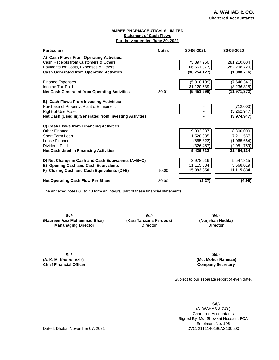### **AMBEE PHARMACEUTICALS LIMITED Statement of Cash Flows For the year ended June 30, 2021**

| <b>Particulars</b>                                                                                                                                                            | <b>Notes</b> | 30-06-2021                                                      | 30-06-2020                                                          |
|-------------------------------------------------------------------------------------------------------------------------------------------------------------------------------|--------------|-----------------------------------------------------------------|---------------------------------------------------------------------|
| A) Cash Flows From Operating Activities:<br>Cash Receipts from Customers & Others<br>Payments for Costs, Expenses & Others<br><b>Cash Generated from Operating Activities</b> |              | 75,897,250<br>(106, 651, 377)<br>(30, 754, 127)                 | 281,210,004<br>(282,298,720)<br>(1,088,716)                         |
| <b>Finance Expenses</b><br>Income Tax Paid<br><b>Net Cash Generated from Operating Activities</b>                                                                             | 30.01        | (5,818,109)<br>31,120,539<br>(5,451,696)                        | (7,646,341)<br>(3, 236, 315)<br>(11, 971, 372)                      |
| <b>B) Cash Flows From Investing Activities:</b><br>Purchase of Property, Plant & Equipment<br>Right-of-Use Asset<br>Net Cash (Used in)/Generated from Investing Activities    |              |                                                                 | (712,000)<br>(3,262,947)<br>(3,974,947)                             |
| C) Cash Flows from Financing Activities:<br>Other Finance<br>Short Term Loan<br>Lease Finance<br>Dividend Paid<br><b>Net Cash Used in Financing Activities</b>                |              | 9,093,937<br>1,528,085<br>(865, 823)<br>(326, 487)<br>9,429,712 | 8,300,000<br>17,211,557<br>(1,065,664)<br>(2,951,759)<br>21,494,134 |
| D) Net Change in Cash and Cash Equivalents (A+B+C)<br>E) Opening Cash and Cash Equivalents<br>F) Closing Cash and Cash Equivalents (D+E)                                      | 10.00        | 3,978,016<br>11,115,834<br>15,093,850                           | 5,547,815<br>5,568,019<br>11,115,834                                |
| <b>Net Operating Cash Flow Per Share</b>                                                                                                                                      | 30.00        | (2.27)                                                          | (4.99)                                                              |

The annexed notes 01 to 40 form an integral part of these financial statements.

**Sd/- (Naureen Aziz Mohammad Bhai) Mananaging Director**

**Sd/- (Kazi Tanzzina Ferdous) Director** 

**(Nurjehan Hudda) Director Sd/-**

**Sd/- (A. K. M. Khairul Aziz) Chief Financial Officer**

**Sd/- (Md. Motiur Rahman) Company Secretary**

Subject to our separate report of even date.

(A. WAHAB & CO.) Chartered Accountants Signed By: Md. Showkat Hossain, FCA Enrolment No.-196 Dated: Dhaka, November 07, 2021 Dated: Dhaka, November 07, 2021 DVC: 2111140196AS130500 **Sd/-**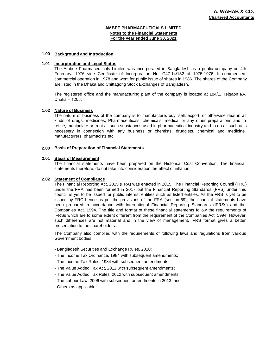### **AMBEE PHARMACEUTICALS LIMITED Notes to the Financial Statements For the year ended June 30, 2021**

### **1.00 Background and Introduction**

### **1.01 Incorporation and Legal Status**

The Ambee Pharmaceuticals Limited was incorporated in Bangladesh as a public company on 4th February, 1976 vide Certificate of Incorporation No. C47.14/132 of 1975-1976. It commenced commercial operation in 1978 and went for public issue of shares in 1986. The shares of the Company are listed in the Dhaka and Chittagong Stock Exchanges of Bangladesh.

The registered office and the manufacturing plant of the company is located at 184/1, Tejgaon I/A, Dhaka – 1208.

### **1.02 Nature of Business**

The nature of business of the company is to manufacture, buy, sell, export, or otherwise deal in all kinds of drugs, medicines, Pharmaceuticals, chemicals, medical or any other preparations and to refine, manipulate or treat all such substances used in pharmaceutical industry and to do all such acts necessery in connection with any business or chemists, druggists, chemical and medicine manufacturers, pharmacists etc.

### **2.00 Basis of Preparation of Financial Statements**

### **2.01 Basis of Measurement**

The financial statements have been prepared on the Historical Cost Convention. The financial statements therefore, do not take into consideration the effect of inflation.

### **2.02 Statement of Compliance**

The Financial Reporting Act, 2015 (FRA) was enacted in 2015. The Financial Reporting Council (FRC) under the FRA has been formed in 2017 but the Financial Reporting Standards (FRS) under this council is yet to be issued for public interest entities such as listed entities. As the FRS is yet to be issued by FRC hence as per the provisions of the FRA (section-69), the financial statements have been prepared in accordance with International Financial Reporting Standards (IFRSs) and the Companies Act, 1994. The title and format of these financial statements follow the requirements of IFRSs which are to some extent different from the requirement of the Companies Act, 1994. However, such differences are not material and in the view of management, IFRS format gives a better presentation to the shareholders.

The Company also complied with the requirements of following laws and regulations from various Government bodies:

- Bangladesh Securities and Exchange Rules, 2020;
- The Income Tax Ordinance, 1984 with subsequent amendments;
- The Income Tax Rules, 1984 with subsequent amendments;
- The Value Added Tax Act, 2012 with subsequent amendments;
- The Value Added Tax Rules, 2012 with subsequent amendments;
- The Labour Law, 2006 with subsequent amendments in 2013; and
- Others as applicable.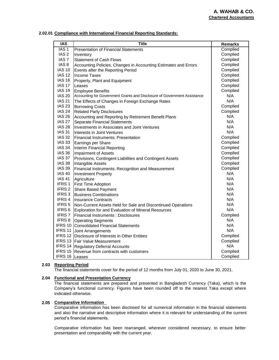|  |  | 2.02.01 Compliance with International Financial Reporting Standards: |
|--|--|----------------------------------------------------------------------|
|  |  |                                                                      |

| <b>IAS</b>        | <b>Title</b>                                                             | <b>Remarks</b> |
|-------------------|--------------------------------------------------------------------------|----------------|
| IAS <sub>1</sub>  | <b>Presentation of Financial Statements</b>                              | Complied       |
| IAS <sub>2</sub>  | Inventory                                                                | Complied       |
| IAS <sub>7</sub>  | <b>Statement of Cash Flows</b>                                           | Complied       |
| IAS <sub>8</sub>  | Accounting Policies, Changes in Accounting Estimates and Errors          | Complied       |
| <b>IAS 10</b>     | Events after the Reporting Period                                        | Complied       |
| <b>IAS 12</b>     | <b>Income Taxes</b>                                                      | Complied       |
| <b>IAS 16</b>     | Property, Plant and Equipment                                            | Complied       |
| <b>IAS 17</b>     | Leases                                                                   | Complied       |
| <b>IAS 19</b>     | <b>Employee Benefits</b>                                                 | Complied       |
| <b>IAS 20</b>     | Accounting for Government Grants and Disclosure of Government Assistance | N/A            |
| <b>IAS 21</b>     | The Effects of Changes in Foreign Exchange Rates                         | N/A            |
| <b>IAS 23</b>     | <b>Borrowing Costs</b>                                                   | Complied       |
| <b>IAS 24</b>     | <b>Related Party Disclosures</b>                                         | Complied       |
| <b>IAS 26</b>     | Accounting and Reporting by Retirement Benefit Plans                     | N/A            |
| <b>IAS 27</b>     | Separate Financial Statements                                            | N/A            |
| <b>IAS 28</b>     | Investments in Associates and Joint Ventures                             | N/A            |
| <b>IAS 31</b>     | Interests in Joint Ventures                                              | N/A            |
| <b>IAS 32</b>     | <b>IFinancial Instruments: Presentation</b>                              | Complied       |
| <b>IAS 33</b>     | Earnings per Share                                                       | Complied       |
| <b>IAS 34</b>     | Interim Financial Reporting                                              | Complied       |
| <b>IAS 36</b>     | Impairment of Assets                                                     | Complied       |
| <b>IAS 37</b>     | Provisions, Contingent Liabilities and Contingent Assets                 | Complied       |
| <b>IAS 38</b>     | Intangible Assets                                                        | Complied       |
| <b>IAS 39</b>     | Financial Instruments: Recognition and Measurement                       | Complied       |
| <b>IAS 40</b>     | <b>Investment Property</b>                                               | N/A            |
| <b>IAS 41</b>     | Agriculture                                                              | N/A            |
| IFRS <sub>1</sub> | <b>First Time Adoption</b>                                               | N/A            |
| IFRS <sub>2</sub> | Share Based Payment                                                      | N/A            |
| IFRS <sub>3</sub> | <b>Business Combinations</b>                                             | N/A            |
| IFRS <sub>4</sub> | <b>Insurance Contracts</b>                                               | N/A            |
| IFRS <sub>5</sub> | Non-Current Assets Held for Sale and Discontinued Operations             | N/A            |
| IFRS <sub>6</sub> | Exploration for and Evaluation of Mineral Resources                      | N/A            |
| <b>IFRS 7</b>     | lFinancial Instruments : Disclosures                                     | Complied       |
| IFRS8             | <b>Operating Segments</b>                                                | N/A            |
|                   | IFRS 10 Consolidated Financial Statements                                | N/A            |
|                   | <b>IFRS 11 Joint Arrangements</b>                                        | N/A            |
|                   | IFRS 12 Disclosure of Interests in Other Entities                        | Complied       |
|                   | IFRS 13 Fair Value Measurement                                           | Complied       |
|                   | IFRS 14 Regulatory Deferral Accounts                                     | N/A            |
|                   | IFRS 15 Revenue from contracts with customers                            | Complied       |
| IFRS 16 Leases    |                                                                          | Complied       |

### **2.03 Reporting Period**

The financial statements cover for the period of 12 months from July 01, 2020 to June 30, 2021.

### **2.04 Functional and Presentation Currency**

The financial statements are prepared and presented in Bangladesh Currency (Taka), which is the Company's functional currency. Figures have been rounded off to the nearest Taka except where indicated otherwise.

### **2.05 Comparative Information**

Comparative information has been disclosed for all numerical information in the financial statements and also the narrative and descriptive information where it is relevant for understanding of the current period's financial statements.

Comparative information has been rearranged, wherever considered necessary, to ensure better presentation and comparability with the current year.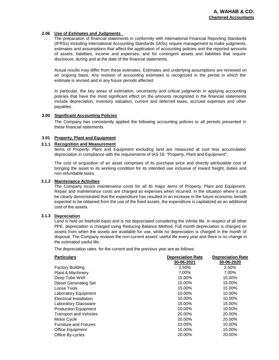### **2.06 Use of Estimates and Judgments**

The preparation of financial statements in conformity with International Financial Reporting Standards (IFRSs) including International Accounting Standards (IASs) require management to make judgments, estimates and assumptions that affect the application of accounting policies and the reported amounts of assets, liabilities, income and expenses, and for contingent assets and liabilities that require disclosure, during and at the date of the financial statements.

Actual results may differ from these estimates. Estimates and underlying assumptions are reviewed on an ongoing basis. Any revision of accounting estimates is recognized in the period in which the estimate is revised and in any future periods affected.

In particular, the key areas of estimation, uncertainty and critical judgments in applying accounting policies that have the most significant effect on the amounts recognized in the financial statements include depreciation, inventory valuation, current and deferred taxes, accrued expenses and other payables.

### **3.00 Significant Accounting Policies**

The Company has consistently applied the following accounting policies to all periods presented in these financial statements.

### **3.01 Property, Plant and Equipment**

### **3.1.1 Recognition and Measurement**

Items of Property, Plant and Equipment excluding land are measured at cost less accumulated depreciation in compliance with the requirements of IAS 16: "Property, Plant and Equipment".

The cost of acquisition of an asset comprises of its purchase price and directly attributable cost of bringing the asset to its working condition for its intended use inclusive of inward freight, duties and non-refundable taxes.

### **3.1.2 Maintenance Activities**

The Company incurs maintenance costs for all its major items of Property, Plant and Equipment. Repair and maintenance costs are charged as expenses when incurred. In the situation where it can be clearly demonstrated that the expenditure has resulted in an increase in the future economic benefit expected to be obtained from the use of the fixed assets, the expenditure is capitalized as an additional cost of the assets.

### **3.1.3 Depreciation**

Land is held on freehold basis and is not depreciated considering the infinite life. In respect of all other PPE, depreciation is charged using Reducing Balance Method. Full month depreciation is charged on assets from when the assets are available for use, while no depreciation is charged in the month of disposal. The Company reviews the non-current assets' useful life every year and there is no change in the estimated useful life.

The depreciation rates for the current and the previous year are as follows:

| <b>Depreciation Rate</b> | <b>Depreciation Rate</b> |
|--------------------------|--------------------------|
| 30-06-2021               | 30-06-2020               |
| 2.50%                    | 2.50%                    |
| 7.00%                    | 7.00%                    |
| 15.00%                   | 15.00%                   |
| 15.00%                   | 15.00%                   |
| 15.00%                   | 15.00%                   |
| 10.00%                   | 10.00%                   |
| 10.00%                   | 10.00%                   |
| 15.00%                   | 15.00%                   |
| 10.00%                   | 10.00%                   |
| 20.00%                   | 20.00%                   |
| 20.00%                   | 20.00%                   |
| 10.00%                   | 10.00%                   |
| 15.00%                   | 15.00%                   |
| 20.00%                   | 20.00%                   |
|                          |                          |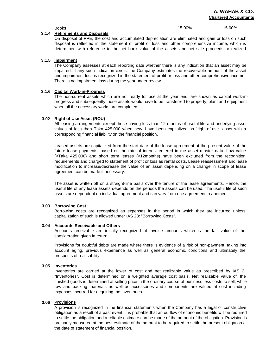Books

### **3.1.4 Retirements and Disposals**

15.00%

15.00%

On disposal of PPE, the cost and accumulated depreciation are eliminated and gain or loss on such disposal is reflected in the statement of profit or loss and other comprehensive income, which is determined with reference to the net book value of the assets and net sale proceeds or realized

### **3.1.5 Impairment**

The Company assesses at each reporting date whether there is any indication that an asset may be impaired. If any such indication exists, the Company estimates the recoverable amount of the asset and impairment loss is recognized in the statement of profit or loss and other comprehensive income. There is no impairment loss during the year under review.

### **3.1.6 Capital Work-in-Progress**

The non-current assets which are not ready for use at the year end, are shown as capital work-inprogress and subsequently those assets would have to be transferred to property, plant and equipment when all the necessary works are completed.

### **3.02 Right of Use Asset (ROU)**

All leasing arrangements except those having less than 12 months of useful life and underlying asset values of less than Taka 425,000 when new, have been capitalized as "right-of-use" asset with a corresponding financial liability on the financial position.

Leased assets are capitalized from the start date of the lease agreement at the present value of the future lease payments, based on the rate of interest entered in the asset master data. Low value (<Taka 425,000) and short term leases (<12months) have been excluded from the recognition requirements and charged to statement of profit or loss as rental costs. Lease reassessment and lease modification to increase/decrease the value of an asset depending on a change in scope of lease agreement can be made if necessary.

The asset is written off on a straight-line basis over the tenure of the lease agreements. Hence, the useful life of any lease assets depends on the periods the assets can be used. The useful life of such assets are dependent on individual agreement and can vary from one agreement to another.

### **3.03 Borrowing Cost**

Borrowing costs are recognized as expenses in the period in which they are incurred unless capitalization of such is allowed under IAS 23: "Borrowing Costs".

### **3.04 Accounts Receivable and Others**

Accounts receivable are initially recognized at invoice amounts which is the fair value of the consideration given in return.

Provisions for doubtful debts are made where there is evidence of a risk of non-payment, taking into account aging, previous experience as well as general economic conditions and ultimately the prospects of realisability.

### **3.05 Inventories**

Inventories are carried at the lower of cost and net realizable value as prescribed by IAS 2: "Inventories". Cost is determined on a weighted average cost basis. Net realizable value of the finished goods is determined at selling price in the ordinary course of business less costs to sell, while raw and packing materials as well as accessories and components are valued at cost including expenses incurred for acquiring the inventories.

### **3.06 Provisions**

A provision is recognized in the financial statements when the Company has a legal or constructive obligation as a result of a past event, it is probable that an outflow of economic benefits will be required to settle the obligation and a reliable estimate can be made of the amount of the obligation. Provision is ordinarily measured at the best estimate of the amount to be required to settle the present obligation at the date of statement of financial position.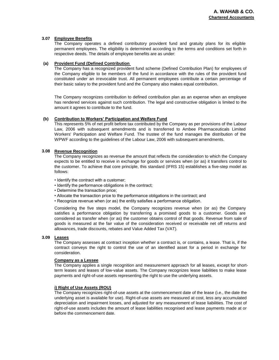### **3.07 Employee Benefits**

The Company operates a defined contributory provident fund and gratuity plans for its eligible permanent employees. The eligibility is determined according to the terms and conditions set forth in respective deeds. The details of employee benefits are as under:

### **(a) Provident Fund (Defined Contribution**

The Company has a recognized provident fund scheme (Defined Contribution Plan) for employees of the Company eligible to be members of the fund in accordance with the rules of the provident fund constituted under an irrevocable trust. All permanent employees contribute a certain percentage of their basic salary to the provident fund and the Company also makes equal contribution.

The Company recognizes contribution to defined contribution plan as an expense when an employee has rendered services against such contribution. The legal and constructive obligation is limited to the amount it agrees to contribute to the fund.

### **(b) Contribution to Workers' Participation and Welfare Fund**

This represents 5% of net profit before tax contributed by the Company as per provisions of the Labour Law, 2006 with subsequent amendments and is transferred to Ambee Pharmaceuticals Limited Workers' Participation and Welfare Fund. The trustee of the fund manages the distribution of the WPWF according to the guidelines of the Labour Law, 2006 with subsequent amendments.

### **3.08 Revenue Recognition**

The Company recognizes as revenue the amount that reflects the consideration to which the Company expects to be entitled to receive in exchange for goods or services when (or as) it transfers control to the customer. To achieve that core principle, this standard (IFRS 15) establishes a five-step model as follows:

- Identify the contract with a customer;
- Identify the performance obligations in the contract;
- Determine the transaction price;
- Allocate the transaction price to the performance obligations in the contract; and
- Recognize revenue when (or as) the entity satisfies a performance obligation.

Considering the five steps model, the Company recognizes revenue when (or as) the Company satisfies a performance obligation by transferring a promised goods to a customer. Goods are considered as transfer when (or as) the customer obtains control of that goods. Revenue from sale of goods is measured at the fair value of the consideration received or receivable net off returns and allowances, trade discounts, rebates and Value Added Tax (VAT).

### **3.09 Leases**

The Company assesses at contract inception whether a contract is, or contains, a lease. That is, if the contract conveys the right to control the use of an identified asset for a period in exchange for consideration.

### **Company as a Lessee**

The Company applies a single recognition and measurement approach for all leases, except for shortterm leases and leases of low-value assets. The Company recognizes lease liabilities to make lease payments and right-of-use assets representing the right to use the underlying assets.

### **i) Right of Use Assets (ROU)**

The Company recognizes right-of-use assets at the commencement date of the lease (i.e., the date the underlying asset is available for use). Right-of-use assets are measured at cost, less any accumulated depreciation and impairment losses, and adjusted for any measurement of lease liabilities. The cost of right-of-use assets includes the amount of lease liabilities recognised and lease payments made at or before the commencement date.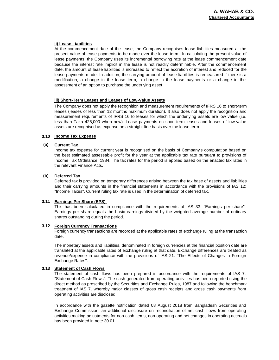### **ii) Lease Liabilities**

At the commencement date of the lease, the Company recognises lease liabilities measured at the present value of lease payments to be made over the lease term. In calculating the present value of lease payments, the Company uses its incremental borrowing rate at the lease commencement date because the interest rate implicit in the lease is not readily determinable. After the commencement date, the amount of lease liabilities is increased to reflect the accretion of interest and reduced for the lease payments made. In addition, the carrying amount of lease liabilities is remeasured if there is a modification, a change in the lease term, a change in the lease payments or a change in the assessment of an option to purchase the underlying asset.

### **iii) Short-Term Leases and Leases of Low-Value Assets**

The Company does not apply the recognition and measurement requirements of IFRS 16 to short-term leases (leases of less than 12 months maximum duration). It also does not apply the recognition and measurement requirements of IFRS 16 to leases for which the underlying assets are low value (i.e. less than Taka 425,000 when new). Lease payments on short-term leases and leases of low-value assets are recognised as expense on a straight-line basis over the lease term.

### **3.10 Income Tax Expense**

### **(a) Current Tax**

Income tax expense for current year is recognised on the basis of Company's computation based on the best estimated assessable profit for the year at the applicable tax rate pursuant to provisions of Income Tax Ordinance, 1984. The tax rates for the period is applied based on the enacted tax rates in the relevant Finance Acts.

### **(b) Deferred Tax**

Deferred tax is provided on temporary differences arising between the tax base of assets and liabilities and their carrying amounts in the financial statements in accordance with the provisions of IAS 12: "Income Taxes". Current ruling tax rate is used in the determination of deferred tax.

### **3.11 Earnings Per Share (EPS)**

This has been calculated in compliance with the requirements of IAS 33: "Earnings per share". Earnings per share equals the basic earnings divided by the weighted average number of ordinary shares outstanding during the period.

### **3.12 Foreign Currency Transactions**

Foreign currency transactions are recorded at the applicable rates of exchange ruling at the transaction date.

The monetary assets and liabilities, denominated in foreign currencies at the financial position date are translated at the applicable rates of exchange ruling at that date. Exchange differences are treated as revenue/expense in compliance with the provisions of IAS 21: "The Effects of Changes in Foreign Exchange Rates".

### **3.13 Statement of Cash Flows**

The statement of cash flows has been prepared in accordance with the requirements of IAS 7: "Statement of Cash Flows". The cash generated from operating activities has been reported using the direct method as prescribed by the Securities and Exchange Rules, 1987 and following the benchmark treatment of IAS 7, whereby major classes of gross cash receipts and gross cash payments from operating activities are disclosed.

In accordance with the gazette notification dated 08 August 2018 from Bangladesh Securities and Exchange Commission, an additional disclosure on reconciliation of net cash flows from operating activities making adjustments for non-cash items, non-operating and net changes in operating accruals has been provided in note 30.01.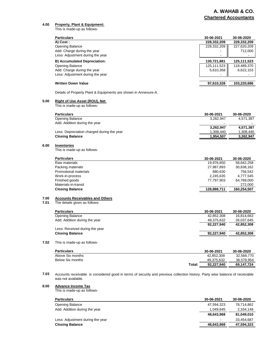**4.00 Property, Plant & Equipment:**

This is made-up as follows-

|              | <b>Particulars</b>                                                                                                                                                                                              | 30-06-2021              | 30-06-2020              |
|--------------|-----------------------------------------------------------------------------------------------------------------------------------------------------------------------------------------------------------------|-------------------------|-------------------------|
|              | A) Cost:                                                                                                                                                                                                        | 228,332,209             | 228,332,209             |
|              | <b>Opening Balance</b>                                                                                                                                                                                          | 228,332,209             | 227,620,209             |
|              | Add: Charge during the year                                                                                                                                                                                     |                         | 712,000                 |
|              | Less: Adjustment during the year                                                                                                                                                                                |                         |                         |
|              | <b>B) Accumulated Depreciation:</b>                                                                                                                                                                             | 130,721,881             | 125,111,523             |
|              | <b>Opening Balance</b>                                                                                                                                                                                          | 125, 111, 523           | 118,489,370             |
|              | Add: Charge during the year                                                                                                                                                                                     | 5,610,358               | 6,622,153               |
|              | Less: Adjustment during the year                                                                                                                                                                                |                         |                         |
|              | <b>Written Down Value</b>                                                                                                                                                                                       | 97,610,328              | 103,220,686             |
|              | Details of Property Plant & Equipments are shown in Annexure-A.                                                                                                                                                 |                         |                         |
| 5.00         | <b>Right of Use Asset (ROU), Net</b>                                                                                                                                                                            |                         |                         |
|              | This is made-up as follows-                                                                                                                                                                                     |                         |                         |
|              | <b>Particulars</b>                                                                                                                                                                                              | 30-06-2021              | 30-06-2020              |
|              | Opening Balance                                                                                                                                                                                                 | 3,262,947               | 4,571,387               |
|              | Add: Addition during the year                                                                                                                                                                                   |                         |                         |
|              |                                                                                                                                                                                                                 | 3,262,947               | 4,571,387               |
|              | Less: Depreciation charged during the year                                                                                                                                                                      | 1,308,440               | 1,308,440               |
|              | <b>Closing Balance</b>                                                                                                                                                                                          | 1,954,507               | 3,262,947               |
| 6.00         | <b>Inventories</b>                                                                                                                                                                                              |                         |                         |
|              | This is made-up as follows-                                                                                                                                                                                     |                         |                         |
|              | <b>Particulars</b>                                                                                                                                                                                              | 30-06-2021              | 30-06-2020              |
|              | Raw materials                                                                                                                                                                                                   | 19,976,650              | 58,842,258              |
|              | Packing materials                                                                                                                                                                                               | 27,987,893              | 30,838,162              |
|              | Promotional materials                                                                                                                                                                                           | 880,630                 | 756,542                 |
|              | Work-in-process                                                                                                                                                                                                 | 2,245,635               | 4,777,545               |
|              | Finished goods                                                                                                                                                                                                  | 77,797,903              | 64,768,000              |
|              | Materials-in-transit                                                                                                                                                                                            |                         | 272,000                 |
|              | <b>Closing Balance</b>                                                                                                                                                                                          | 128,888,711             | 160,254,507             |
|              |                                                                                                                                                                                                                 |                         |                         |
| 7.00<br>7.01 | <b>Accounts Receivables and Others</b><br>The details given as follows:                                                                                                                                         |                         |                         |
|              |                                                                                                                                                                                                                 |                         |                         |
|              | <b>Particulars</b>                                                                                                                                                                                              | 30-06-2021              | 30-06-2020              |
|              | Opening Balance                                                                                                                                                                                                 | 42,852,308              | 16,814,663              |
|              | Add: Addition during the year                                                                                                                                                                                   | 49,375,632              | 26,037,645              |
|              |                                                                                                                                                                                                                 | 92,227,940              | 42,852,308              |
|              | Less: Received during the year                                                                                                                                                                                  |                         |                         |
|              | <b>Closing Balance</b>                                                                                                                                                                                          | 92,227,940              | 42,852,308              |
| 7.02         | This is made-up as follows-                                                                                                                                                                                     |                         |                         |
|              | <b>Particulars</b>                                                                                                                                                                                              | 30-06-2021              | 30-06-2020              |
|              | Above Six months                                                                                                                                                                                                | 42,852,308              | 32,568,770              |
|              | <b>Below Six months</b>                                                                                                                                                                                         | 49,375,632              | 36,578,954              |
|              | Total:                                                                                                                                                                                                          | 92,227,940              | 69,147,724              |
| 7.03<br>8.00 | Accounts receivable is considered good in terms of security and previous collection history. Party wise balance of receivable<br>was not available.<br><b>Advance Income Tax</b><br>This is made-up as follows- |                         |                         |
|              | <b>Particulars</b>                                                                                                                                                                                              | 30-06-2021              | 30-06-2020              |
|              |                                                                                                                                                                                                                 |                         |                         |
|              | <b>Opening Balance</b><br>Add: Addition during the year                                                                                                                                                         | 47,594,323<br>1,049,645 | 78,714,862<br>2,334,148 |
|              |                                                                                                                                                                                                                 | 48,643,968              | 81,049,010              |
|              |                                                                                                                                                                                                                 |                         |                         |
|              | Less: Adjustment during the year                                                                                                                                                                                |                         | 33,454,687              |

**Closing Balance** 48,643,968 47,594,323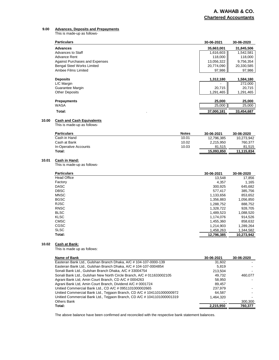### **9.00 Advances, Deposits and Prepayments**

### This is made-up as follows-

| <b>Particulars</b>                    | 30-06-2021 | 30-06-2020 |
|---------------------------------------|------------|------------|
| <b>Advances</b>                       | 35,663,001 | 31,845,506 |
| Advances to Staff                     | 1,616,603  | 1,542,581  |
| Advance Rent                          | 118.000    | 118,000    |
| <b>Against Purchases and Expenses</b> | 13,056,322 | 9,756,354  |
| <b>Bengal Steel Works Limited</b>     | 20,774,090 | 20,330,585 |
| Ambee Films Limited                   | 97,986     | 97,986     |
| <b>Deposits</b>                       | 1,312,180  | 1,584,180  |
| L/C Margin                            |            | 272,000    |
| Guarantee Margin                      | 20.715     | 20,715     |
| <b>Other Deposits</b>                 | 1,291,465  | 1,291,465  |
|                                       |            |            |
| <b>Prepayments</b>                    | 25,000     | 25,000     |
| <b>WASA</b>                           | 25,000     | 25,000     |
| Total:                                | 37,000,181 | 33,454,687 |

### **10.00 Cash and Cash Equivalents**

This is made-up as follows-

| <b>Particulars</b>    | <b>Notes</b> | 30-06-2021 | 30-06-2020 |
|-----------------------|--------------|------------|------------|
| Cash in Hand          | 10.01        | 12.796.385 | 10.273.942 |
| Cash at Bank          | 10.02        | 2.215.950  | 760.377    |
| In-Operative Accounts | 10.03        | 81.515     | 81.515     |
| Total:                |              | 15.093.850 | 11.115.834 |

### **10.01 Cash in Hand:**

This is made-up as follows-

| <b>Particulars</b> | 30-06-2021 | 30-06-2020 |
|--------------------|------------|------------|
| <b>Head Office</b> | 13,548     | 17,856     |
| Factory            | 4.357      | 1,165      |
| <b>DASC</b>        | 300,925    | 645,682    |
| <b>DBSC</b>        | 577,417    | 385,756    |
| <b>MNSC</b>        | 1,133,656  | 853,652    |
| <b>BGSC</b>        | 1,356,883  | 1,056,850  |
| <b>RJSC</b>        | 1,288,752  | 888,752    |
| <b>RNSC</b>        | 1.328.722  | 928,705    |
| <b>BLSC</b>        | 1,489,523  | 1,088,520  |
| <b>KLSC</b>        | 1.174.076  | 914.526    |
| <b>CMSC</b>        | 1,455,360  | 858,632    |
| CGSC               | 1,214,903  | 1,289,264  |
| <b>SLSC</b>        | 1,458,263  | 1,344,582  |
| Total:             | 12,796,385 | 10,273,942 |

### **10.02 Cash at Bank:**

This is made up as follows:

| Name of Bank                                                            | 30-06-2021 | 30-06-2020 |
|-------------------------------------------------------------------------|------------|------------|
| Easteran Bank Ltd., Gulshan Branch Dhaka, A/C # 104-107-0000-139        | 31,602     |            |
| Easteran Bank Ltd., Gulshan Branch Dhaka, A/C # 104-107-0004854         | 5.819      |            |
| Sonali Bank Ltd., Gulshan Branch Dhaka, A/C # 33004754                  | 213.504    |            |
| Sonali Bank Ltd., Gulshan New North Circle Branch, A/C # 011633002105   | 49.732     | 460.077    |
| Agrani Bank Ltd, Amin Court Branch, CD A/C # 0004263                    | 58.950     |            |
| Agrani Bank Ltd, Amin Court Branch, Dividend A/C # 0001724              | 89.457     |            |
| Unitied Commercial Bank Ltd., CD A/C # 0951101000002665                 | 237.979    |            |
| Unitied Commercial Bank Ltd., Tejgaon Branch, CD A/C # 1041101000000972 | 64.587     |            |
| Unitied Commercial Bank Ltd., Tejgaon Branch, CD A/C # 1041101000001319 | 1.464.320  |            |
| Others Bank                                                             |            | 300.300    |
| Total:                                                                  | 2,215,950  | 760,377    |

The above balance have been confirmed and reconciled with the respective bank statement balances.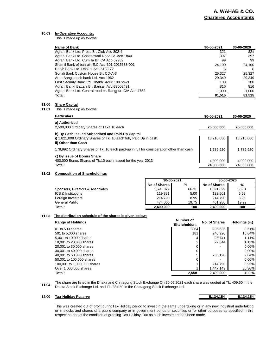### **10.03 In-Operative Accounts:**

This is made up as follows:

|                | Name of Bank                                                                              | 30-06-2021 | 30-06-2020 |
|----------------|-------------------------------------------------------------------------------------------|------------|------------|
|                | Agrani Bank Ltd. Press Br. Club Acc-892-4                                                 | 321        | 321        |
|                | Agrani Bank Ltd. Chatteswari Road Br. Acc-1840                                            | 397        | 397        |
|                | Agrani Bank Ltd. Cumilla Br. CA Acc-52982                                                 | 99         | 99         |
|                | Shamil Bank of bahrain E.C Acc-301-2015633-001                                            | 24,100     | 24,100     |
|                | Habib Bank Ltd. Dhaka. Acc-5133-72                                                        | 6          | 6          |
|                | Sonali Bank Custom House Br. CD-A-3                                                       | 25,327     | 25,327     |
|                | Arab Bangladesh bank Ltd. Acc-1962                                                        | 29,349     | 29,349     |
|                | First Security Bank Ltd. Dhaka. Acc-1100724-9                                             | 100        | 100        |
|                | Agrani Bank, Battala Br. Barisal. Acc-33002491                                            | 816        | 816        |
|                | Agrani Bank Ltd. Central road br. Rangpur. C/A Acc-4752                                   | 1.000      | 1,000      |
|                | Total:                                                                                    | 81,515     | 81,515     |
| 11.00<br>11.01 | <b>Share Capital</b><br>This is made up as follows:                                       |            |            |
|                | <b>Particulars</b>                                                                        | 30-06-2021 | 30-06-2020 |
|                | a) Authorized<br>2,500,000 Ordinary Shares of Taka 10 each                                | 25,000,000 | 25,000,000 |
|                | b) By Cash Issued Subscribed and Paid-Up Capital                                          |            |            |
|                | i) 1,821,008 Ordinary Shares of Tk. 10 each fully Paid Up in cash.<br>ii) Other than Cash | 18,210,080 | 18,210,080 |
|                | 178,992 Ordinary Shares of Tk. 10 each paid-up in full for consideration other than cash  | 1,789,920  | 1,789,920  |
|                | c) By issue of Bonus Share<br>400,000 Bonus Shares of Tk.10 each Issued for the year 2013 | 4,000,000  | 4,000,000  |
|                | Total:                                                                                    | 24.000.000 | 24,000,000 |

### **11.02 Composition of Shareholdings**

|                                  | 30-06-2021   |       | 30-06-2020   |       |
|----------------------------------|--------------|-------|--------------|-------|
|                                  | No of Shares | %     | No of Shares | %     |
| Sponsors, Directors & Associates | 1.591.329    | 66.31 | 1,591,329    | 66.31 |
| ICB & Institutions               | 119.881      | 5.00  | 132,601      | 5.53  |
| Foreign Investors                | 214.790      | 8.95  | 214,790      | 8.95  |
| General Public                   | 474.000      | 19.75 | 461.280      | 19.22 |
| Total:                           | 2.400.000    | 100   | 2.400.000    | 100   |

**Number of** 

### **11.03 The distribution schedule of the shares is given below:**

| <b>Range of Holdings</b>    | Number of<br><b>Shareholders</b> | No. of Shares | Holdings (%) |
|-----------------------------|----------------------------------|---------------|--------------|
| 01 to 500 shares            | 2364                             | 206.636       | 8.61%        |
| 501 to 5,000 shares         | 181                              | 240.920       | 10.04%       |
| 5,001 to 10,000 shares      | 4                                | 26,741        | 1.11%        |
| 10,001 to 20,000 shares     | $\mathcal{P}$                    | 27.644        | 1.15%        |
| 20,001 to 30,000 shares     | $\Omega$                         | -             | 0.00%        |
| 30,001 to 40,000 shares     | $\Omega$                         | -             | $0.00\%$     |
| 40,001 to 50,000 shares     | 5 <sup>1</sup>                   | 236.120       | 9.84%        |
| 50,001 to 100,000 shares    | $\Omega$                         |               | $0.00\%$     |
| 100,001 to 1,000,000 shares |                                  | 214.790       | 8.95%        |
| Over 1,000,000 shares       |                                  | 1.447.149     | 60.30%       |
| Total:                      | 2.558                            | 2.400.000     | 100.%        |

**11.04** The share are listed in the Dhaka and Chittagong Stock Exchange On 30.06.2021 each share was quoted at Tk. 409.50 in the Dhaka Stock Exchange Ltd. and Tk. 384.50 in the Chittagong Stock Exchange Ltd.



This was created out of profit duringTax-Holiday period to invest in the same undertaking or in any new industrial undertaking or in stocks and shares of a public company or in government bonds or securities or for other purposes as specified in this respect as one of the condition of granting Tax Holiday. But no such investment has been made.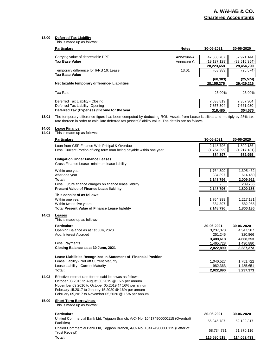### **13.00 Deferred Tax Liability**

This is made up as follows:

|                | <b>Particulars</b>                                                                                                                                                                                                                | <b>Notes</b> | 30-06-2021             | 30-06-2020             |
|----------------|-----------------------------------------------------------------------------------------------------------------------------------------------------------------------------------------------------------------------------------|--------------|------------------------|------------------------|
|                | Carrying value of depreciable PPE                                                                                                                                                                                                 | Annexure-A   | 47,360,787             | 52,971,144             |
|                | <b>Tax Base Value</b>                                                                                                                                                                                                             | Annexure-C   | (19, 137, 129)         | (23, 516, 354)         |
|                |                                                                                                                                                                                                                                   |              | 28,223,658             | 29,454,790             |
|                | Temporary difference for IFRS 16: Lease<br><b>Tax Base Value</b>                                                                                                                                                                  | 13.01        | (68, 383)              | (25, 574)              |
|                |                                                                                                                                                                                                                                   |              | (68, 383)              | (25, 574)              |
|                | Net taxable temporary difference- Liabilities                                                                                                                                                                                     |              | 28, 155, 275           | 29,429,216             |
|                | <b>Tax Rate</b>                                                                                                                                                                                                                   |              | 25.00%                 | 25.00%                 |
|                | Deferred Tax Liability - Closing                                                                                                                                                                                                  |              | 7,038,819              | 7,357,304              |
|                | Deferred Tax Liability- Opening                                                                                                                                                                                                   |              | 7,357,304              | 7,661,980              |
|                | Deferred Tax (Expenses)/Income for the year                                                                                                                                                                                       |              | 318,485                | 304,676                |
| 13.01          | The temporary difference figure has been computed by deducting ROU Assets from Lease liabilities and multiply by 25% tax<br>rate thereon in order to calculate deferred tax (assets)/liability value. The details are as follows: |              |                        |                        |
| 14.00<br>14.01 | <b>Lease Finance</b><br>This is made up as follows:                                                                                                                                                                               |              |                        |                        |
|                | <b>Particulars</b>                                                                                                                                                                                                                |              | 30-06-2021             | 30-06-2020             |
|                | Loan from GSP Finance With Pricipal & Overdue                                                                                                                                                                                     |              | 2,148,796              | 1,800,136              |
|                | Less: Current Portion of long term loan being payable within one year                                                                                                                                                             |              | (1,764,399)            | (1,217,181)            |
|                |                                                                                                                                                                                                                                   |              | 384,397                | 582,955                |
|                | <b>Obligation Under Finance Leases</b><br>Gross Finance Lease- minimum lease liability                                                                                                                                            |              |                        |                        |
|                | Within one year                                                                                                                                                                                                                   |              | 1,764,399              | 1,395,462              |
|                | After one year                                                                                                                                                                                                                    |              | 384,397                | 614,460                |
|                | Total:                                                                                                                                                                                                                            |              | 2,148,796              | 2,009,922              |
|                | Less: Future finance charges on finance lease liability                                                                                                                                                                           |              |                        | 209,786                |
|                | <b>Present Value of Finance Lease liability</b>                                                                                                                                                                                   |              | 2,148,796              | 1,800,136              |
|                | This consist of as follows:                                                                                                                                                                                                       |              |                        |                        |
|                | Within one year                                                                                                                                                                                                                   |              | 1,764,399              | 1,217,181              |
|                | Within two to five years                                                                                                                                                                                                          |              | 384,397                | 582,955                |
|                | <b>Total Present Value of Finance Lease liability</b>                                                                                                                                                                             |              | 2,148,796              | 1,800,136              |
| 14.02          | <b>Leases</b><br>This is made-up as follows-                                                                                                                                                                                      |              |                        |                        |
|                | <b>Particulars</b>                                                                                                                                                                                                                |              | 30-06-2021             | 30-06-2020             |
|                | Opening Balance as at 1st July, 2020                                                                                                                                                                                              |              | 3,237,373              | 4,347,387              |
|                | Add: Interest Accrued                                                                                                                                                                                                             |              | 251,245                | 320,866                |
|                |                                                                                                                                                                                                                                   |              | 3,488,618              | 4,668,253              |
|                | Less: Payments                                                                                                                                                                                                                    |              | 1,465,728<br>2.022.890 | 1,430,880<br>3.237.373 |
|                | Closing Balance as at 30 June, 2021                                                                                                                                                                                               |              |                        |                        |
|                | Lease Liabilities Recognized in Statement of Financial Position                                                                                                                                                                   |              |                        |                        |
|                | Lease Liability - Net off Current Maturity                                                                                                                                                                                        |              | 1,040,527              | 1,751,722              |
|                | Lease Liability - Current Maturity                                                                                                                                                                                                |              | 982,363                | 1,485,651              |
|                | Total:                                                                                                                                                                                                                            |              | 2,022,890              | 3,237,373              |
| 14.03          | Effective interest rate for the said loan was as follows:<br>October 03,2016 to August 30,2019 @ 16% per annum<br>November 09,2016 to October 05,2019 @ 16% per annum<br>February 15,2017 to January 15,2020 @ 16% per annum      |              |                        |                        |
|                | February 05,2017 to November 05,2020 @ 16% per annum                                                                                                                                                                              |              |                        |                        |
| 15.00          | <b>Short Term Borrowings</b>                                                                                                                                                                                                      |              |                        |                        |
|                | This is made up as follows:                                                                                                                                                                                                       |              |                        |                        |
|                | <b>Particulars</b>                                                                                                                                                                                                                |              | 30-06-2021             | 30-06-2020             |
|                | Unitied Commercial Bank Ltd, Tejgaon Branch, A/C- No. 104174900000115 (Overdraft                                                                                                                                                  |              |                        |                        |

| Total:                                                                                            | 115,580,518 | 114.052.433 |
|---------------------------------------------------------------------------------------------------|-------------|-------------|
| Unitied Commercial Bank Ltd, Tejgaon Branch, A/C-No. 104174900000115 (Letter of<br>Trust Receipt) | 58.734.731  | 61.870.116  |
| Unitied Commercial Bank Ltd, Tejqaon Branch, A/C- No. 104174900000115 (Overdraft<br>Facilities)   | 56.845.787  | 52.182.317  |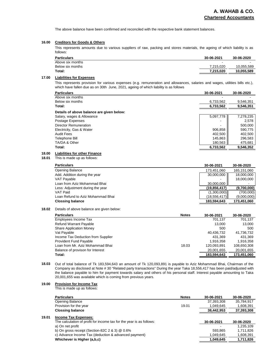The above balance have been confirmed and reconciled with the respective bank statement balances.

### **16.00 Creditors for Goods & Others**

This represents amounts due to various suppliers of raw, packing and stores materials, the ageing of which liability is as follows:

| <b>Particulars</b> | 30-06-2021 | 30-06-2020 |
|--------------------|------------|------------|
| Above six months   | -          |            |
| Below six months   | 7.215.020  | 10,055,589 |
| Total:             | 7.215.020  | 10.055.589 |
|                    |            |            |

### **17.00 Liabilities for Expenses**

This represents provision for various expenses (e.g. remuneration and allowances, salaries and wages, utilities bills etc.), which have fallen due as on 30th June, 2021, ageing of which liability is as follows

| <b>Particulars</b>                        | 30-06-2021 | 30-06-2020 |
|-------------------------------------------|------------|------------|
| Above six months                          |            |            |
| Below six months                          | 6,733,562  | 9,546,351  |
| Total:                                    | 6,733,562  | 9,546,351  |
| Details of above balance are given below: |            |            |
| Salary, wages & Allowance                 | 5,097,778  | 7,278,235  |
| Postage Expenses                          | ۰          | 2,578      |
| Director Remuneration                     | ٠          | 500,000    |
| Electricity, Gas & Water                  | 906,858    | 590,775    |
| <b>Audit Fees</b>                         | 402,500    | 402,500    |
| Telephone Bill                            | 145,863    | 296,583    |
| TA/DA & Other                             | 180.563    | 475,681    |
| Total:                                    | 6,733,562  | 9,546,352  |

### **18.00 Liabilities for other Finance**

**18.01** This is made up as follows:

| <b>Particulars</b>                | 30-06-2021     | 30-06-2020  |
|-----------------------------------|----------------|-------------|
| Opening Balance                   | 173.451.060    | 165.151.060 |
| Add. Addition during the year     | 30,000,000     | 18,000,000  |
| <b>VAT Payable</b>                |                | 18.000.000  |
| Loan from Aziz Mohammad Bhai      | 30.000.000     |             |
| Less: Adjustment during the year  | (19.856, 417)  | (9,700,000) |
| VAT Paid                          | (1,300,000)    | (700,000)   |
| Loan Refund to Aziz Mohammad Bhai | (18, 556, 417) | (9,000,000) |
| <b>Clossing balance</b>           | 183,594,643    | 173.451.060 |

### **18.02** Details of above balance are given below:

| <b>Particulars</b>                 | <b>Notes</b> | 30-06-2021  | 30-06-2020  |
|------------------------------------|--------------|-------------|-------------|
| Employees Income Tax               |              | 701.137     | 701.137     |
| <b>Refund Warrant Payable</b>      |              | 13.000      | 13.000      |
| <b>Share Application Money</b>     |              | 500         | 500         |
| Vat Payable                        |              | 40,436,732  | 41,736,732  |
| Income Tax Deduction from Supplier |              | 431.369     | 431.369     |
| <b>Provident Fund Payable</b>      |              | 1.916.358   | 1.916.358   |
| Loan from Mr. Aziz Mohammad Bhai   | 18.03        | 120.093.891 | 108,650,308 |
| Balance of provison for Interest   |              | 20,001,655  | 20,001,655  |
| Total:                             |              | 183,594,643 | 173,451,060 |
|                                    |              |             |             |

**18.03** Out of total balance of Tk 183,594,643 an amount of Tk 120,093,891 is payable to Aziz Mohammad Bhai, Chairman of the Company as disclosed at Note # 30 "Related party transactions" During the year Taka 18,556,417 has been paid/adjusted with the balance payable to him for payment towards salary and others of his personal staff. Interest payable amounting to Taka 20,001,655 was available which is coming from previous years.

### **19.00 Provision for Income Tax**

This is made up as follows:

|       | <b>Particulars</b>                                                                                  | <b>Notes</b> | 30-06-2021 | 30-06-2020 |
|-------|-----------------------------------------------------------------------------------------------------|--------------|------------|------------|
|       | <b>Opening Balance</b>                                                                              |              | 37,393,308 | 35,784,917 |
|       | Provision for the year                                                                              | 19.01        | 1.049.645  | 1,608,391  |
|       | <b>Clossing balance</b>                                                                             |              | 38,442,953 | 37,393,308 |
| 19.01 | <b>Income Tax Expenses:</b><br>The calculation of profit for income tax for the year is as follows: |              | 30-06-2021 | 30-06-2020 |
|       | a) On net profit                                                                                    |              |            | 1,235,109  |
|       | b) On gross receipt (Section-82C $2 \& 3$ ) $@ 0.6\%$                                               |              | 593.865    | 1,711,826  |
|       | c) Advance Income Tax (deduction & advanced payment)                                                |              | 1.049.645  | 1,608,391  |
|       | Whichever is Higher (a,b,c)                                                                         |              | 1,049,645  | 1,711,826  |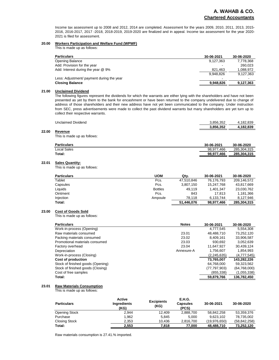Income tax assessment up to 2008 and 2012, 2014 are completed. Assessment for the years 2009, 2010, 2011, 2013, 2015- 2016, 2016-2017, 2017 -2018, 2018-2019, 2019-2020 are finalized and in appeal. Income tax assessment for the year 2020- 2021 is filed for assessment.

### **20.00 Workers Participation and Welfare Fund (WPWF)**

This is made up as follows:

| <b>Particulars</b>                        | 30-06-2021               | 30-06-2020 |
|-------------------------------------------|--------------------------|------------|
| <b>Opening Balance</b>                    | 9,127,363                | 7,778,368  |
| Add: Provision for the year               | $\overline{\phantom{0}}$ | 260.023    |
| Add: Interest during the year @ 9%        | 821.463                  | 1,088,972  |
|                                           | 9.948.826                | 9,127,363  |
| Less: Adjustment/ payment during the year | $\overline{\phantom{a}}$ | -          |
| <b>Closing Balance</b>                    | 9,948,826                | 9,127,363  |

### **21.00 Unclaimed Dividend**

The following figures represent the dividends for which the warrants are either lying with the shareholders and have not been presented as yet by them to the bank for encashment or have been returned to the company undelivered due to change of address of those shareholders and their new address have not yet been communicated to the company. Under instruction from SEC, press advertisements were made to collect the past dividend warrants but many shareholders are yet turn up to collect their respective warrants.

| Unclaimed Dividend | 3.856.352         | .839<br>182              |
|--------------------|-------------------|--------------------------|
|                    | しふちに マスつ<br>. JJA | .839<br>.19 <sup>o</sup> |

### **22.00 Revenue**

This is made up as follows:

| <b>Particulars</b> | 30-06-2021 | 30-06-2020  |
|--------------------|------------|-------------|
| <b>Local Sales</b> | 98.977.466 | 285.304.315 |
| Total:             | 98.977.466 | 285.304.315 |

### **22.01 Sales Quantity:**

This is made up as follows:

| <b>Particulars</b> | <b>UOM</b>     | Qtv.       | 30-06-2021 | 30-06-2020  |
|--------------------|----------------|------------|------------|-------------|
| Tablet             | Pcs.           | 47.510.846 | 76.176.793 | 209.146.572 |
| Capsules           | Pcs.           | 3,807,150  | 15.247.768 | 43.817.669  |
| Liquids            | <b>Bottles</b> | 49.119     | 1.401.347  | 23,030,762  |
| Ointment           | Pcs.           | 843        | 17.813     | 1.181.366   |
| Injection          | Ampoule        | 78.118     | 6.133.744  | 8.127.946   |
| Total:             |                | 51,446,076 | 98,977,466 | 285,304,315 |

### **23.00 Cost of Goods Sold**

This is made up as follows:

| <b>Particulars</b>                | <b>Notes</b> | 30-06-2021     | 30-06-2020   |
|-----------------------------------|--------------|----------------|--------------|
| Work-in-process (Opening)         |              | 4,777,545      | 5,554,308    |
| Raw materials consumed            | 23.01        | 48,488,710     | 73,252,120   |
| Packing materials consumed        | 23.02        | 8,409,161      | 33,906,587   |
| Promotional materials consumed    | 23.03        | 930.692        | 3,052,639    |
| Factory overhead                  | 23.04        | 11.647.927     | 30,439,124   |
| Depreciation                      | Annexure-A   | 1,756,607      | 1,854,993    |
| Work-in-process (Closing)         |              | (2, 245, 635)  | (4,777,545)  |
| Cost of production                |              | 73,765,007     | 143,282,226  |
| Stock of finished goods (Opening) |              | 64.768.000     | 59,323,562   |
| Stock of finished goods (Closing) |              | (77, 797, 903) | (64,768,000) |
| Cost of free samples              |              | (855,338)      | (1,055,338)  |
| Total:                            |              | 59,879,766     | 136,782,450  |

### **23.01 Raw Materials Consumption**

This is made up as follows:

| <b>Particulars</b>   | <b>Active</b><br>Ingredients<br>(KG) | <b>Excipients</b><br>(KG) | <b>E.H.G.</b><br><b>Capsules</b><br>(PCS) | 30-06-2021   | 30-06-2020     |
|----------------------|--------------------------------------|---------------------------|-------------------------------------------|--------------|----------------|
| Opening Stock        | 2.944                                | 12.409                    | 2,888,700                                 | 58.842.258   | 53,359,376     |
| Purchase             | 1.962                                | 5.845                     | 5.000                                     | 9.623.102    | 78,735,002     |
| <b>Closing Stock</b> | 2.353                                | 10.436                    | 2.816.700                                 | (19,976,650) | (58, 842, 258) |
| Total:               | 2.553                                | 7.818                     | 77.000                                    | 48,488,710   | 73,252,120     |

Raw materials consumption is 27.41.% imported.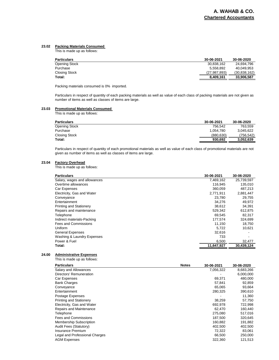### **23.02 Packing Materials Consumed**

This is made up as follows:

| <b>Particulars</b>   | 30-06-2021   | 30-06-2020   |
|----------------------|--------------|--------------|
| <b>Opening Stock</b> | 30.838.162   | 24.694.796   |
| Purchase             | 5.558.892    | 40.049.953   |
| Closing Stock        | (27.987.893) | (30,838,162) |
| Total:               | 8.409.161    | 33.906.587   |
|                      |              |              |

Packing materials consumed is 0% imported.

Particulars in respect of quantity of each packing materials as well as value of each class of packing materials are not given as number of items as well as classes of items are large.

### **23.03 Promotional Materials Consumed**

This is made up as follows:

| <b>Particulars</b>   | 30-06-2021 | 30-06-2020 |
|----------------------|------------|------------|
| <b>Opening Stock</b> | 756.542    | 763.559    |
| Purchase             | 1.054.780  | 3.045.622  |
| Closing Stock        | (880.630)  | (756.542)  |
| Total:               | 930.692    | 3.052.639  |

Particulars in respect of quantity of each promotional materials as well as value of each class of promotional materials are not given as number of items as well as classes of items are large.

### **23.04 Factory Overhead**

This is made up as follows:

| <b>Particulars</b>             | 30-06-2021 | 30-06-2020               |
|--------------------------------|------------|--------------------------|
| Salary, wages and allowances   | 7,469,162  | 25,739,597               |
| Overtime allowances            | 116,945    | 135,010                  |
| Car Expenses                   | 360.059    | 487.213                  |
| Electricity, Gas and Water     | 2.771.911  | 2,881,447                |
| Conveyance                     | 23,780     | 29,755                   |
| Entertainment                  | 34,276     | 49,972                   |
| <b>Printing and Stationery</b> | 38,612     | 34,391                   |
| Repairs and maintenance        | 529,342    | 612,875                  |
| Telephone                      | 69.545     | 82,317                   |
| Indirect materials-Packing     | 177,574    | 324,699                  |
| <b>Fees and Commissions</b>    | 11.150     | 18,750                   |
| Uniform                        | 5,722      | 10.621                   |
| <b>General Expenses</b>        | 32.616     | $\overline{\phantom{a}}$ |
| Washing & Laundry Expenses     | 733        |                          |
| Power & Fuel                   | 6,500      | 32,477                   |
| Total:                         | 11,647,927 | 30,439,124               |

### **24.00 Administrative Expenses**

This is made up as follows:

| <b>Particulars</b>             | <b>Notes</b> | 30-06-2021 | 30-06-2020 |
|--------------------------------|--------------|------------|------------|
| Salary and Allowances          |              | 7,056,322  | 8,683,266  |
| Directors' Remuneration        |              |            | 6,000,000  |
| Car Expenses                   |              | 69,371     | 480,000    |
| <b>Bank Charges</b>            |              | 57,841     | 92,859     |
| Conveyance                     |              | 65.065     | 93,664     |
| Entertainment                  |              | 280,325    | 390,610    |
| Postage Expenses               |              |            | 11,360     |
| <b>Printing and Stationery</b> |              | 38,259     | 57,750     |
| Electricity, Gas and Water     |              | 692.978    | 722,998    |
| Repairs and Maintenance        |              | 62.470     | 160,440    |
| Telephone                      |              | 275.080    | 517,016    |
| Fees and Commissions           |              | 187,500    | 320,645    |
| <b>Membership Subscription</b> |              | 160.882    | 191,882    |
| Audit Fees (Statutory)         |              | 402,500    | 402,500    |
| Insurance Premium              |              | 72,322     | 83,061     |
| Legal and Professional Charges |              | 66.500     | 250,000    |
| <b>AGM Expenses</b>            |              | 322,360    | 121,513    |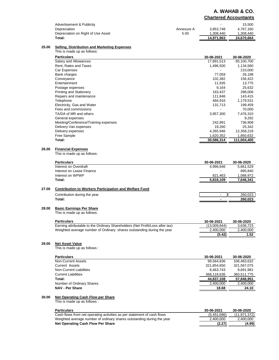# **A. WAHAB & CO. Chartered Accountants**

| Advertisement & Publicity          |            | $\overline{\phantom{0}}$ | 15.500     |
|------------------------------------|------------|--------------------------|------------|
| Depreciation                       | Annexure A | 3.853.748                | 4.767.160  |
| Depreciation on Right of Use Asset | 5.00       | 1.308.440                | 1.308.440  |
| Total:                             |            | 14.971.963               | 24.670.664 |

### **25.00 Selling, Distribution and Marketing Expenses**

| This is made up as follows:          |            |             |
|--------------------------------------|------------|-------------|
| <b>Particulars</b>                   | 30-06-2021 | 30-06-2020  |
| Salary and Allowances                | 17,891,513 | 85,100,700  |
| Rent, Rates and Taxes                | 1,496,500  | 1,134,560   |
| Car Expenses                         |            | 210,000     |
| Bank charges                         | 77,059     | 26,198      |
| Conveyance                           | 102,382    | 156,422     |
| Entertainment                        | 11,935     | 13,775      |
| Postage expenses                     | 9,164      | 25,632      |
| <b>Printing and Stationery</b>       | 163,437    | 288,006     |
| Repairs and maintenance              | 111,846    | 143,415     |
| Telephone                            | 484.916    | 1,179,531   |
| Electricity, Gas and Water           | 131,713    | 199,459     |
| Fees and commissions                 |            | 70,000      |
| TA/DA of MR and others               | 3,957,300  | 7,476,310   |
| General expenses                     |            | 9,292       |
| Meeting/Conference/Training expenses | 242.991    | 736,908     |
| Delivery Van expenses                | 19,260     | 25,342      |
| Delivery expenses                    | 4,265,946  | 12,358,218  |
| Free Sample                          | 1,620,352  | 1,850,632   |
| Total:                               | 30,586,314 | 111,004,400 |

### **26.00 Financial Expenses**

This is made up as follows:

|       | <b>Particulars</b>                                                            | 30-06-2021               | 30-06-2020  |
|-------|-------------------------------------------------------------------------------|--------------------------|-------------|
|       | Interest on Overdraft                                                         | 4,996,646                | 5,661,529   |
|       | Interest on Lease Finance                                                     |                          | 895,840     |
|       | Interest on WPWF                                                              | 821,463                  | 1,088,972   |
|       | Total:                                                                        | 5,818,109                | 7,646,341   |
| 27.00 | <b>Contribution to Workers Participation and Welfare Fund</b>                 |                          |             |
|       | Contribution during the year                                                  | $\overline{\phantom{0}}$ | 260,023     |
|       | Total:                                                                        |                          | 260,023     |
| 28.00 | <b>Basic Earnings Per Share</b>                                               |                          |             |
|       | This is made up as follows:                                                   |                          |             |
|       | <b>Particulars</b>                                                            | 30-06-2021               | 30-06-2020  |
|       | Earning attributable to the Ordinary Shareholders (Net Profit/Loss after tax) | (13,009,844)             | 3,636,723   |
|       | Weighted average number of Ordinary shares outstanding during the year        | 2,400,000                | 2,400,000   |
|       |                                                                               | (5.42)                   | 1.52        |
| 29.00 | <b>Net Asset Value</b>                                                        |                          |             |
|       | This is made up as follows :                                                  |                          |             |
|       | <b>Particulars</b>                                                            | 30-06-2021               | 30-06-2020  |
|       | <b>Non-Current Assets</b>                                                     | 99,564,836               | 106,483,632 |
|       | <b>Current Assets</b>                                                         | 321,854,650              | 321,567,075 |
|       | <b>Non-Current Liabilities</b>                                                | 8,463,743                | 9,691,981   |
|       | <b>Current Liabilities</b>                                                    | 368,118,636              | 360,511,775 |
|       | Total:                                                                        | 44,837,108               | 57,846,951  |
|       | Number of Ordinary Shares                                                     | 2,400,000                | 2,400,000   |
|       | <b>NAV - Per Share</b>                                                        | 18.68                    | 24.10       |

### **30.00 Net Operating Cash Flow per Share**

This is made up as follows :

| <b>Particulars</b>                                                      | 30-06-2021  | 30-06-2020   |
|-------------------------------------------------------------------------|-------------|--------------|
| Cash flows from net operating activities as per statement of cash flows | (5.451.696) | (11.971.372) |
| Weighted average number of ordinary shares outstanding during the year  | 2.400.000   | 2.400.000    |
| Net Operating Cash Flow Per Share                                       | (2.27)      | (4.99)       |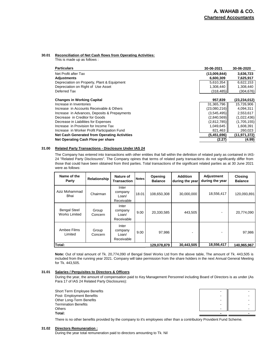### **30.01 Reconciliation of Net Cash flows from Operating Activities:**

This is made up as follows :

| <b>Particulars</b>                           | 30-06-2021   | 30-06-2020     |
|----------------------------------------------|--------------|----------------|
| Net Profit after Tax                         | (13,009,844) | 3,636,723      |
| <b>Adjustments</b>                           | 6,600,309    | 7,625,917      |
| Depreciation on Property, Plant & Equipment  | 5,610,354    | 6,622,153      |
| Depreciation on Right of Use Asset           | 1,308,440    | 1,308,440      |
| Deferred Tax                                 | (318, 485)   | (304, 676)     |
|                                              |              |                |
| <b>Changes in Working Capital</b>            | 957,839      | (23, 234, 012) |
| Increase in Inventories                      | 31,365,796   | 15,726,906     |
| Increase in Accounts Receivable & Others     | (23,080,216) | 4.094.311      |
| Increase in Advances, Deposits & Prepayments | (3,545,495)  | 2,553,617      |
| Decrease in Creditor for Goods               | (2,840,569)  | (1,022,436)    |
| Decrease in Liabilities for Expenses         | (2,812,785)  | (1,705,155)    |
| Increase in Provision for Income Tax         | 1,049,645    | 1,608,391      |
| Increase in Worker Profit Participation Fund | 821,463      | 260,023        |
| Net Cash Generated from Operating Activities | (5,451,696)  | (11, 971, 372) |
| Net Operating Cash Flow per share            | (2.27)       | (4.99)         |

### **31.00 Related Party Transactions - Disclosure Under IAS 24**

The Company has entered into transactions with other entities that fall within the definition of related party as contained in IAS-24 "Related Party Disclosures". The Company opines that terms of related party transactions do not significantly differ from those that could have been obtained from third parties. Total transactions of the significant related parties as at 30 June 2021 were as follows:

| Name of the<br>Party                 | Relationship     | Nature of<br><b>Transaction</b>         | <b>Notes</b> | Opening<br><b>Balance</b> | <b>Addition</b><br>during the year | <b>Adjustment</b><br>during the year | <b>Closing</b><br><b>Balance</b> |
|--------------------------------------|------------------|-----------------------------------------|--------------|---------------------------|------------------------------------|--------------------------------------|----------------------------------|
| Aziz Mohammad<br>Bhai                | Chairman         | Inter<br>company<br>Loan/<br>Receivable | 18.01        | 108,650,308               | 30,000,000                         | 18,556,417                           | 120,093,891                      |
| <b>Bengal Steel</b><br>Works Limited | Group<br>Concern | Inter<br>company<br>Loan/<br>Receivable | 9.00         | 20,330,585                | 443,505                            | -                                    | 20,774,090                       |
| Ambee Films<br>Limited               | Group<br>Concern | Inter<br>company<br>Loan/<br>Receivable | 9.00         | 97,986                    | -                                  |                                      | 97,986                           |
| Total:                               |                  |                                         |              | 129,078,879               | 30,443,505                         | 18,556,417                           | 140,965,967                      |

**Note:** Out of total amount of Tk. 20,774,090 of Bengal Steel Works Ltd from the above table, The amount of Tk. 443,505 is included from the running year 2021. Company will take permission from the share holders in the next Annual General Meeting for Tk. 443,505.

### **31.01 Salaries / Perquisites to Directors & Officers**

During the year, the amount of compensation paid to Key Management Personnel including Board of Directors is as under (As Para 17 of IAS 24 Related Party Disclosures):

| Short Term Employee Benefits | - |  |
|------------------------------|---|--|
| Post- Employment Benefits    |   |  |
| Other Long-Term Benefits     | ۰ |  |
| <b>Termination Benefits</b>  |   |  |
| Others                       |   |  |
| Total∙                       |   |  |

There is no other benefits provided by the company to it's employees other than a contributory Provident Fund Scheme.

### **31.02 Directors Remuneration :**

During the year total remuneration paid to directors amounting to Tk. Nil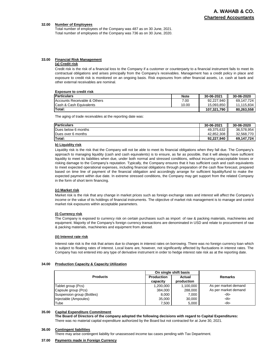### **32.00 Number of Employees**

Total number of employees of the Company was 487 as on 30 June, 2021. Total number of employees of the Company was 736 as on 30 June, 2020.

### **33.00 Financial Risk Management**

### **(a) Credit risk**

Credit risk is the risk of a financial loss to the Company if a customer or counterparty to a financial instrument fails to meet its contractual obligations and arises principally from the Company's receivables. Management has a credit policy in place and exposure to credit risk is monitored on an ongoing basis. Risk exposures from other financial assets, i.e. cash at bank and other external receivables are nominal.

### **Exposure to credit risk**

| <b>Particulars</b>           | <b>Note</b> | 30-06-2021  | 30-06-2020 |
|------------------------------|-------------|-------------|------------|
| Accounts Receivable & Others | 7.00        | 92,227,940  | 69.147.724 |
| Cash & Cash Equivalents      | 10.00       | 15.093.850  | 11.115.834 |
| Total:                       |             | 107.321.790 | 80.263.558 |

The aging of trade receivables at the reporting date was:

| <b>Particulars</b>  | 30-06-2021 | 30-06-2020 |
|---------------------|------------|------------|
| Dues below 6 months | 49,375,632 | 36.578.954 |
| Dues over 6 months  | 42.852.308 | 32.568.770 |
| <b>Total:</b>       | 92.227.940 | 69.147.724 |

### **b) Liquidity risk**

Liquidity risk is the risk that the Company will not be able to meet its financial obligations when they fall due. The Company's approach to managing liquidity (cash and cash equivalents) is to ensure, as far as possible, that it will always have sufficient liquidity to meet its liabilities when due, under both normal and stressed conditions, without incurring unacceptable losses or risking damage to the Company's reputation. Typically, the Company ensures that it has sufficient cash and cash equivalents to meet expected operational expenses, including financial obligations through preparation of the cash flow forecast, prepared based on time line of payment of the financial obligation and accordingly arrange for sufficient liquidity/fund to make the expected payment within due date. In extreme stressed conditions, the Company may get support from the related Company in the form of short term financing.

### **(c) Market risk**

Market risk is the risk that any change in market prices such as foreign exchange rates and interest will affect the Company's income or the value of its holdings of financial instruments. The objective of market risk management is to manage and control market risk exposures within acceptable parameters.

### **(i) Currency risk**

The Company is exposed to currency risk on certain purchases such as import of raw & packing materials, machineries and equipment. Majority of the Company's foreign currency transactions are denominated in USD and relate to procurement of raw & packing materials, machineries and equipment from abroad.

### **(ii) Interest rate risk**

Interest rate risk is the risk that arises due to changes in interest rates on borrowing. There was no foreign currency loan which is subject to floating rates of interest. Local loans are, however, not significantly affected by fluctuations in interest rates. The Company has not entered into any type of derivative instrument in order to hedge interest rate risk as at the reporting date.

### **34.00 Production Capacity & Capacity Utilization**

|                            |                   | On single shift basis |                      |  |
|----------------------------|-------------------|-----------------------|----------------------|--|
| <b>Products</b>            | <b>Production</b> | Actual                | Remarks              |  |
|                            | capacity          | production            |                      |  |
| Tablet group (Pcs)         | 1,200,000         | 1,100,000             | As per market demand |  |
| Capsule group (Pcs)        | 384.000           | 288.000               | As per market demand |  |
| Suspension group (Bottles) | 8.000             | 7.000                 | -do-                 |  |
| Injectable (Ampoules)      | 35.000            | 30.000                | -do-                 |  |
| Tube                       | 7.500             | 5,000                 | -do-                 |  |

### **35.00 Capital Expenditure Commitment**

There was no material capital expenditure authorized by the Board but not contracted for at June 30, 2021. **The Board of Directors of the company adopted the following decisions with regard to Capital Expenditures:**

### **36.00 Contingent liabilities**

There may arise contingent liability for unassessed income tax cases pending with Tax Department.

### **37.00 Payments made in Foreign Currency**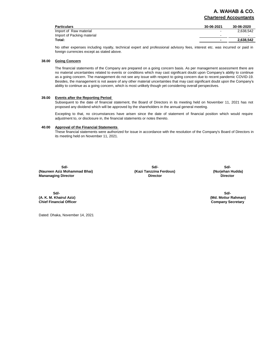| <b>Particulars</b>         | 30-06-2021 | 30-06-2020 |
|----------------------------|------------|------------|
| Import of Raw material     | -          | 2.638.542  |
| Import of Packing material | -          | -          |
| Total:                     |            | 2.638.542  |
|                            |            |            |

No other expenses including royalty, technical expert and professional advisory fees, interest etc. was incurred or paid in foreign currencies except as stated above.

### **38.00 Going Concern**

The financial statements of the Company are prepared on a going concern basis. As per management assessment there are no material uncertainties related to events or conditions which may cast significant doubt upon Company's ability to continue as a going concern. The management do not see any issue with respect to going concern due to recent pandemic COVID-19. Besides, the management is not aware of any other material uncertainties that may cast significant doubt upon the Company's ability to continue as a going concern, which is most unlikely though yet considering overall perspectives.

### **39.00 Events after the Reporting Period**

Subsequent to the date of financial statement, the Board of Directors in its meeting held on November 11, 2021 has not proposed any dividend which will be approved by the shareholders in the annual general meeting.

Excepting to that, no circumstances have arisen since the date of statement of financial position which would require adjustment to, or disclosure in, the financial statements or notes thereto.

### **40.00 Approval of the Financial Statements**

These financial statements were authorized for issue in accordance with the resolution of the Company's Board of Directors in its meeting held on November 11, 2021.

**(Naureen Aziz Mohammad Bhai) Mananaging Director Sd/- Sd/-**

**(Kazi Tanzzina Ferdous) Director**

 **(Nurjehan Hudda) Sd/-**

**(A. K. M. Khairul Aziz) Sd/-**

**Sd/- (Md. Motiur Rahman) Company Secretary** 

Dated: Dhaka, November 14, 2021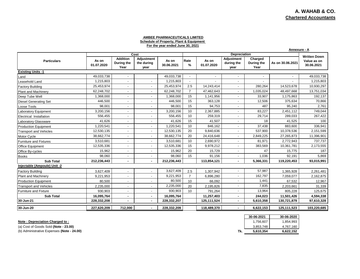## **A. WAHAB & CO. Chartered Accountants**

### **AMBEE PHARMACEUTICALS LIMITED Schedule of Property, Plant & Equipment For the year ended June 30, 2021**

|                               |                     |                                       |                                  |                     |                          | Annexure - A        |                                  |                               |                  |                           |
|-------------------------------|---------------------|---------------------------------------|----------------------------------|---------------------|--------------------------|---------------------|----------------------------------|-------------------------------|------------------|---------------------------|
|                               |                     |                                       | Cost                             |                     |                          |                     | Depreciation                     |                               |                  | <b>Written Down</b>       |
| <b>Particulars</b>            | As on<br>01.07.2020 | <b>Addition</b><br>During the<br>Year | Adjustment<br>the during<br>year | As on<br>30.06.2021 | Rate<br>%                | As on<br>01.07.2020 | Adjustment<br>during the<br>year | Charged<br>During the<br>Year | As on 30.06.2021 | Value as on<br>30.06.2021 |
| <b>Existing Units -1</b>      |                     |                                       |                                  |                     |                          |                     |                                  |                               |                  |                           |
| Land                          | 49,033,738          |                                       |                                  | 49.033.738          | $\overline{\phantom{a}}$ | $\overline{a}$      | $\blacksquare$                   |                               | $\overline{a}$   | 49,033,738                |
| Leasehold Land                | 1,215,803           |                                       | $\blacksquare$                   | 1,215,803           | $\overline{a}$           |                     | $\blacksquare$                   | $\overline{a}$                | $\overline{a}$   | 1,215,803                 |
| <b>Factory Building</b>       | 25,453,974          |                                       | $\overline{\phantom{a}}$         | 25,453,974          | 2.5                      | 14,243,414          | $\overline{a}$                   | 280,264                       | 14,523,678       | 10,930,297                |
| Plant and Machinery           | 62,248,702          |                                       | $\overline{\phantom{a}}$         | 62,248,702          | $\overline{7}$           | 47,462,643          |                                  | 1,035,024                     | 48,497,668       | 13,751,034                |
| Deep Tube Well                | 1.368.000           |                                       | $\overline{\phantom{a}}$         | 1.368.000           | 15                       | 1,141,956           | $\overline{\phantom{0}}$         | 33.907                        | 1,175,863        | 192,137                   |
| <b>Diesel Generating Set</b>  | 446,500             | $\overline{\phantom{a}}$              | $\overline{\phantom{a}}$         | 446,500             | 15                       | 363,128             | $\blacksquare$                   | 12,506                        | 375,634          | 70,866                    |
| Loose Tools                   | 98,001              |                                       |                                  | 98,001              | 15                       | 94,753              | $\overline{a}$                   | 487                           | 95,240           | 2,761                     |
| <b>Laboratory Equipment</b>   | 3,200,156           |                                       | $\overline{\phantom{a}}$         | 3,200,156           | 10                       | 2,367,885           | $\overline{\phantom{a}}$         | 83,227                        | 2,451,112        | 749,044                   |
| Electrical Installation       | 556,455             |                                       | $\blacksquare$                   | 556,455             | 10                       | 259,319             | $\overline{a}$                   | 29,714                        | 289,033          | 267,422                   |
| aboratory Glassware           | 41,626              |                                       | $\overline{\phantom{a}}$         | 41,626              | 15                       | 41,507              | $\overline{a}$                   | 18                            | 41,525           | 100                       |
| <b>Production Equipment</b>   | 1,220,541           |                                       | $\overline{\phantom{a}}$         | 1,220,541           | 10                       | 846,162             | $\overline{\phantom{a}}$         | 37,438                        | 883.600          | 336,941                   |
| <b>Transport and Vehicles</b> | 12,530,135          |                                       | $\blacksquare$                   | 12,530,135          | 20                       | 9,840,636           | $\overline{a}$                   | 537,900                       | 10,378,536       | 2,151,599                 |
| Motor Cycle                   | 38,662,774          | $\overline{\phantom{a}}$              | $\overline{\phantom{a}}$         | 38,662,774          | 20                       | 24,416,648          | $\overline{\phantom{0}}$         | 2,849,225                     | 27,265,873       | 11,396,901                |
| <b>Furniture and Fixtures</b> | 3,510,681           |                                       | $\overline{\phantom{a}}$         | 3,510,681           | 10                       | 2,690,972           | $\overline{a}$                   | 81,971                        | 2,772,943        | 737,737                   |
| Office Equipment              | 12,535,336          |                                       | $\overline{\phantom{a}}$         | 12,535,336          | 15                       | 9,978,212           | $\blacksquare$                   | 383,569                       | 10,361,781       | 2,173,555                 |
| Office By-cycles              | 15,962              |                                       | $\overline{\phantom{a}}$         | 15,962              | 20                       | 15,729              | $\blacksquare$                   | 47                            | 15,775           | 187                       |
| <b>Books</b>                  | 98,060              |                                       | $\overline{\phantom{a}}$         | 98,060              | 15                       | 91,156              | $\overline{\phantom{a}}$         | 1,036                         | 92,191           | 5,869                     |
| <b>Sub Total</b>              | 212,236,443         |                                       | $\blacksquare$                   | 212,236,443         |                          | 113,854,121         | ٠                                | 5,366,331                     | 119,220,453      | 93,015,991                |
| Injectable (Ampoule) Unit -2  |                     |                                       |                                  |                     |                          |                     |                                  |                               |                  |                           |
| <b>Factory Building</b>       | 3,627,409           |                                       | $\overline{\phantom{a}}$         | 3,627,409           | 2.5                      | 1,307,942           | $\blacksquare$                   | 57,987                        | 1,365,928        | 2,261,481                 |
| <b>Plant and Machinery</b>    | 9,221,953           |                                       | $\overline{\phantom{a}}$         | 9,221,953           | $\overline{7}$           | 6,896,280           | $\overline{\phantom{a}}$         | 162,797                       | 7,059,077        | 2,162,875                 |
| <b>Production Equipment</b>   | 80,500              |                                       | $\blacksquare$                   | 80,500              | 10                       | 66,092              | $\overline{\phantom{a}}$         | 1,441                         | 67,532           | 12,967                    |
| <b>Transport and Vehicles</b> | 2,235,000           | $\overline{\phantom{a}}$              | $\overline{\phantom{a}}$         | 2,235,000           | 20                       | 2,195,826           | $\overline{\phantom{a}}$         | 7,835                         | 2,203,661        | 31,339                    |
| <b>Furniture and Fixture</b>  | 930,903             |                                       | $\overline{\phantom{a}}$         | 930,903             | 10                       | 791,264             | $\blacksquare$                   | 13,964                        | 805,228          | 125,675                   |
| <b>Sub Total</b>              | 16,095,764          | $\overline{\phantom{a}}$              | $\blacksquare$                   | 16,095,764          |                          | 11,257,403          | ٠                                | 244,023                       | 11,501,426       | 4,594,338                 |
| 30-Jun-21                     | 228,332,208         |                                       | $\blacksquare$                   | 228,332,207         |                          | 125,111,524         | ÷.                               | 5,610,358                     | 130,721,879      | 97,610,328                |
| 30-Jun-20                     | 227,620,209         | 712,000                               | $\sim$                           | 228,332,209         |                          | 118,489,370         | ٠                                | 6,622,153                     | 125,111,523      | 103,220,685               |

**Note : Depreciation Charged to :** 

(a) Cost of Goods Sold (Note - 23.00)

(b) Administrative Expenses (Note - 24.00)

|     | 30-06-2021 | 30-06-2020 |
|-----|------------|------------|
|     | 1,756,607  | 1,854,993  |
|     | 3,853,748  | 4,767,160  |
| Tk. | 5,610,354  | 6,622,152  |